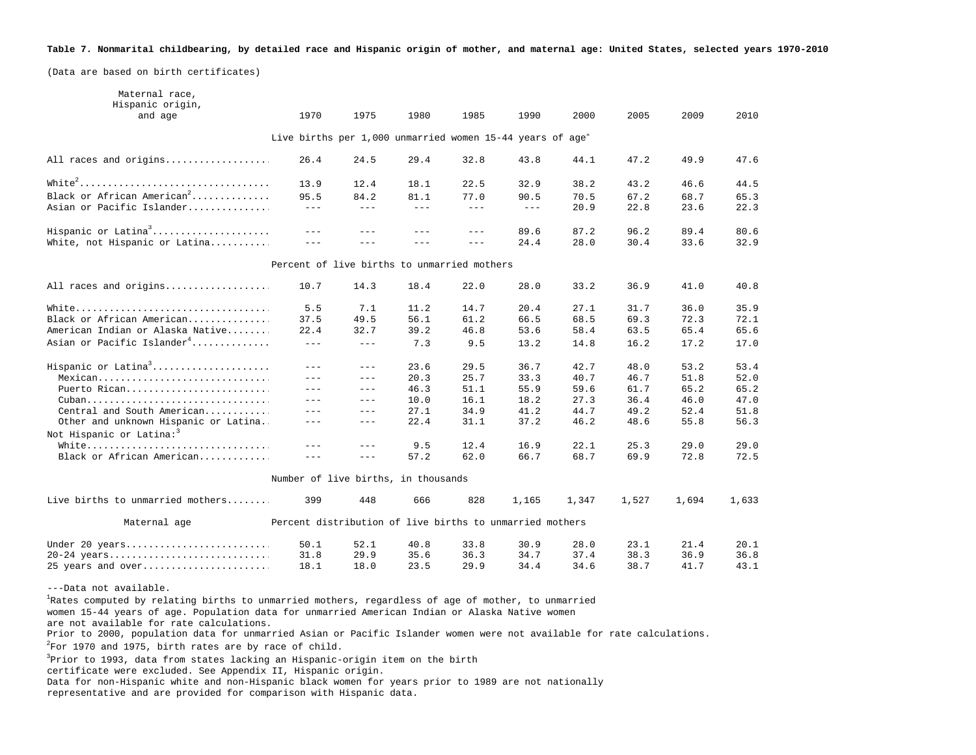## **Table 7. Nonmarital childbearing, by detailed race and Hispanic origin of mother, and maternal age: United States, selected years 1970-2010**

(Data are based on birth certificates)

| Maternal race,<br>Hispanic origin,     |                                                                       |                            |               |                                                                                                                                                                                                                                                                                                                                                                                              |                         |       |       |       |       |
|----------------------------------------|-----------------------------------------------------------------------|----------------------------|---------------|----------------------------------------------------------------------------------------------------------------------------------------------------------------------------------------------------------------------------------------------------------------------------------------------------------------------------------------------------------------------------------------------|-------------------------|-------|-------|-------|-------|
| and age                                | 1970                                                                  | 1975                       | 1980          | 1985                                                                                                                                                                                                                                                                                                                                                                                         | 1990                    | 2000  | 2005  | 2009  | 2010  |
|                                        | Live births per 1,000 unmarried women 15-44 years of age <sup>1</sup> |                            |               |                                                                                                                                                                                                                                                                                                                                                                                              |                         |       |       |       |       |
| All races and origins                  | 26.4                                                                  | 24.5                       | 29.4          | 32.8                                                                                                                                                                                                                                                                                                                                                                                         | 43.8                    | 44.1  | 47.2  | 49.9  | 47.6  |
|                                        | 13.9                                                                  | 12.4                       | 18.1          | 22.5                                                                                                                                                                                                                                                                                                                                                                                         | 32.9                    | 38.2  | 43.2  | 46.6  | 44.5  |
| Black or African American <sup>2</sup> | 95.5                                                                  | 84.2                       | 81.1          | 77.0                                                                                                                                                                                                                                                                                                                                                                                         | 90.5                    | 70.5  | 67.2  | 68.7  | 65.3  |
| Asian or Pacific Islander              | $  -$                                                                 | $\equiv$ $\equiv$ $\equiv$ | $\frac{1}{2}$ | $\frac{1}{2} \frac{1}{2} \frac{1}{2} \frac{1}{2} \frac{1}{2} \frac{1}{2} \frac{1}{2} \frac{1}{2} \frac{1}{2} \frac{1}{2} \frac{1}{2} \frac{1}{2} \frac{1}{2} \frac{1}{2} \frac{1}{2} \frac{1}{2} \frac{1}{2} \frac{1}{2} \frac{1}{2} \frac{1}{2} \frac{1}{2} \frac{1}{2} \frac{1}{2} \frac{1}{2} \frac{1}{2} \frac{1}{2} \frac{1}{2} \frac{1}{2} \frac{1}{2} \frac{1}{2} \frac{1}{2} \frac{$ | $\perp$ $\perp$ $\perp$ | 20.9  | 22.8  | 23.6  | 22.3  |
| Hispanic or Latina <sup>3</sup>        | $\frac{1}{2}$                                                         | $- - -$                    | $- - -$       | $\frac{1}{2} \frac{1}{2} \frac{1}{2} \frac{1}{2} \frac{1}{2} \frac{1}{2} \frac{1}{2} \frac{1}{2} \frac{1}{2} \frac{1}{2} \frac{1}{2} \frac{1}{2} \frac{1}{2} \frac{1}{2} \frac{1}{2} \frac{1}{2} \frac{1}{2} \frac{1}{2} \frac{1}{2} \frac{1}{2} \frac{1}{2} \frac{1}{2} \frac{1}{2} \frac{1}{2} \frac{1}{2} \frac{1}{2} \frac{1}{2} \frac{1}{2} \frac{1}{2} \frac{1}{2} \frac{1}{2} \frac{$ | 89.6                    | 87.2  | 96.2  | 89.4  | 80.6  |
| White, not Hispanic or Latina          |                                                                       |                            | $- - -$       | $\frac{1}{2}$                                                                                                                                                                                                                                                                                                                                                                                | 24.4                    | 28.0  | 30.4  | 33.6  | 32.9  |
|                                        | Percent of live births to unmarried mothers                           |                            |               |                                                                                                                                                                                                                                                                                                                                                                                              |                         |       |       |       |       |
| All races and origins                  | 10.7                                                                  | 14.3                       | 18.4          | 22.0                                                                                                                                                                                                                                                                                                                                                                                         | 28.0                    | 33.2  | 36.9  | 41.0  | 40.8  |
| White                                  | 5.5                                                                   | 7.1                        | 11.2          | 14.7                                                                                                                                                                                                                                                                                                                                                                                         | 20.4                    | 27.1  | 31.7  | 36.0  | 35.9  |
| Black or African American              | 37.5                                                                  | 49.5                       | 56.1          | 61.2                                                                                                                                                                                                                                                                                                                                                                                         | 66.5                    | 68.5  | 69.3  | 72.3  | 72.1  |
| American Indian or Alaska Native       | 22.4                                                                  | 32.7                       | 39.2          | 46.8                                                                                                                                                                                                                                                                                                                                                                                         | 53.6                    | 58.4  | 63.5  | 65.4  | 65.6  |
| Asian or Pacific Islander <sup>4</sup> | $\frac{1}{2}$                                                         | $\frac{1}{2}$              | 7.3           | 9.5                                                                                                                                                                                                                                                                                                                                                                                          | 13.2                    | 14.8  | 16.2  | 17.2  | 17.0  |
| Hispanic or Latina <sup>3</sup>        | $---$                                                                 | $\qquad \qquad - -$        | 23.6          | 29.5                                                                                                                                                                                                                                                                                                                                                                                         | 36.7                    | 42.7  | 48.0  | 53.2  | 53.4  |
| Mexican                                | $\qquad \qquad - -$                                                   | $\perp$ $\perp$ $\perp$    | 20.3          | 25.7                                                                                                                                                                                                                                                                                                                                                                                         | 33.3                    | 40.7  | 46.7  | 51.8  | 52.0  |
| Puerto Rican                           | $- - -$                                                               | $\perp$ $\perp$ $\perp$    | 46.3          | 51.1                                                                                                                                                                                                                                                                                                                                                                                         | 55.9                    | 59.6  | 61.7  | 65.2  | 65.2  |
| Cuban                                  | $- - -$                                                               | $---$                      | 10.0          | 16.1                                                                                                                                                                                                                                                                                                                                                                                         | 18.2                    | 27.3  | 36.4  | 46.0  | 47.0  |
| Central and South American             | $---$                                                                 | $\sim$ $\sim$ $\sim$       | 27.1          | 34.9                                                                                                                                                                                                                                                                                                                                                                                         | 41.2                    | 44.7  | 49.2  | 52.4  | 51.8  |
| Other and unknown Hispanic or Latina   | $- - -$                                                               | $- - -$                    | 22.4          | 31.1                                                                                                                                                                                                                                                                                                                                                                                         | 37.2                    | 46.2  | 48.6  | 55.8  | 56.3  |
| Not Hispanic or Latina: <sup>3</sup>   |                                                                       |                            |               |                                                                                                                                                                                                                                                                                                                                                                                              |                         |       |       |       |       |
| White                                  | ---                                                                   | $- - -$                    | 9.5           | 12.4                                                                                                                                                                                                                                                                                                                                                                                         | 16.9                    | 22.1  | 25.3  | 29.0  | 29.0  |
| Black or African American              | $\frac{1}{2}$                                                         | $\sim$ $\sim$ $\sim$       | 57.2          | 62.0                                                                                                                                                                                                                                                                                                                                                                                         | 66.7                    | 68.7  | 69.9  | 72.8  | 72.5  |
|                                        | Number of live births, in thousands                                   |                            |               |                                                                                                                                                                                                                                                                                                                                                                                              |                         |       |       |       |       |
| Live births to unmarried mothers       | 399                                                                   | 448                        | 666           | 828                                                                                                                                                                                                                                                                                                                                                                                          | 1,165                   | 1,347 | 1,527 | 1,694 | 1,633 |
| Maternal age                           | Percent distribution of live births to unmarried mothers              |                            |               |                                                                                                                                                                                                                                                                                                                                                                                              |                         |       |       |       |       |
| Under 20 years                         | 50.1                                                                  | 52.1                       | 40.8          | 33.8                                                                                                                                                                                                                                                                                                                                                                                         | 30.9                    | 28.0  | 23.1  | 21.4  | 20.1  |
| 20-24 years                            | 31.8                                                                  | 29.9                       | 35.6          | 36.3                                                                                                                                                                                                                                                                                                                                                                                         | 34.7                    | 37.4  | 38.3  | 36.9  | 36.8  |
| 25 years and over                      | 18.1                                                                  | 18.0                       | 23.5          | 29.9                                                                                                                                                                                                                                                                                                                                                                                         | 34.4                    | 34.6  | 38.7  | 41.7  | 43.1  |
|                                        |                                                                       |                            |               |                                                                                                                                                                                                                                                                                                                                                                                              |                         |       |       |       |       |

---Data not available.

<sup>1</sup>Rates computed by relating births to unmarried mothers, regardless of age of mother, to unmarried women 15-44 years of age. Population data for unmarried American Indian or Alaska Native women

are not available for rate calculations.

Prior to 2000, population data for unmarried Asian or Pacific Islander women were not available for rate calculations.

 $2^2$ For 1970 and 1975, birth rates are by race of child.

<sup>3</sup>Prior to 1993, data from states lacking an Hispanic-origin item on the birth

certificate were excluded. See Appendix II, Hispanic origin.

Data for non-Hispanic white and non-Hispanic black women for years prior to 1989 are not nationally representative and are provided for comparison with Hispanic data.